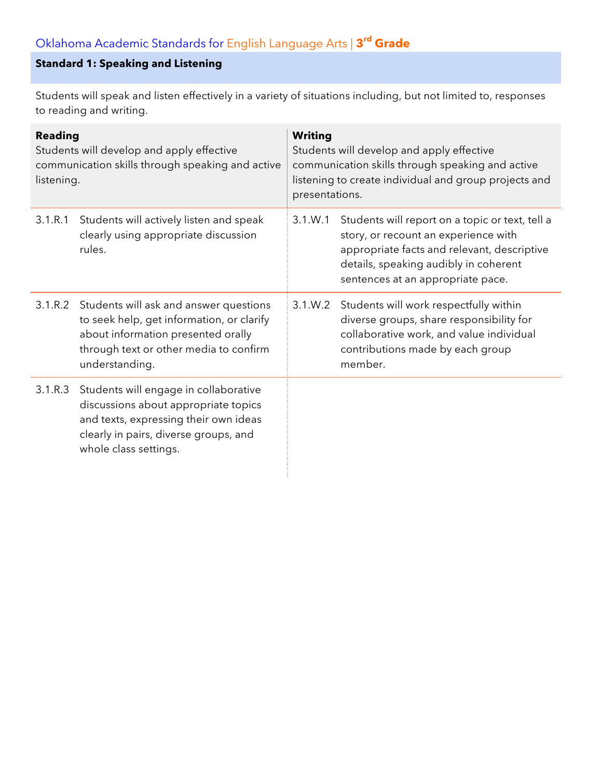# **Standard 1: Speaking and Listening**

Students will speak and listen effectively in a variety of situations including, but not limited to, responses to reading and writing.

| <b>Reading</b><br>Students will develop and apply effective<br>communication skills through speaking and active<br>listening. |                                                                                                                                                                                               | <b>Writing</b><br>Students will develop and apply effective<br>communication skills through speaking and active<br>listening to create individual and group projects and<br>presentations. |                                                                                                                                                                                                                      |  |
|-------------------------------------------------------------------------------------------------------------------------------|-----------------------------------------------------------------------------------------------------------------------------------------------------------------------------------------------|--------------------------------------------------------------------------------------------------------------------------------------------------------------------------------------------|----------------------------------------------------------------------------------------------------------------------------------------------------------------------------------------------------------------------|--|
| 3.1.R.1                                                                                                                       | Students will actively listen and speak<br>clearly using appropriate discussion<br>rules.                                                                                                     | 3.1.W.1                                                                                                                                                                                    | Students will report on a topic or text, tell a<br>story, or recount an experience with<br>appropriate facts and relevant, descriptive<br>details, speaking audibly in coherent<br>sentences at an appropriate pace. |  |
|                                                                                                                               | 3.1.R.2 Students will ask and answer questions<br>to seek help, get information, or clarify<br>about information presented orally<br>through text or other media to confirm<br>understanding. | 3.1.W.2                                                                                                                                                                                    | Students will work respectfully within<br>diverse groups, share responsibility for<br>collaborative work, and value individual<br>contributions made by each group<br>member.                                        |  |
| 3.1.R.3                                                                                                                       | Students will engage in collaborative<br>discussions about appropriate topics<br>and texts, expressing their own ideas<br>clearly in pairs, diverse groups, and<br>whole class settings.      |                                                                                                                                                                                            |                                                                                                                                                                                                                      |  |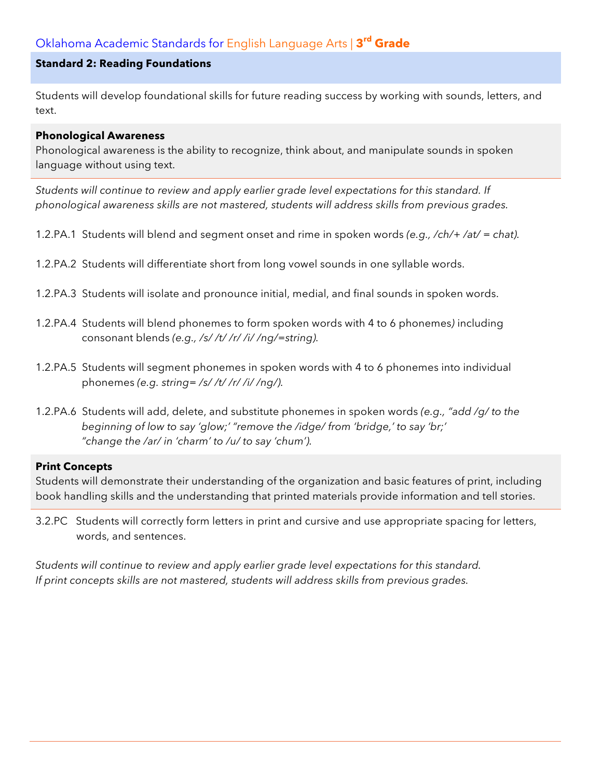### **Standard 2: Reading Foundations**

Students will develop foundational skills for future reading success by working with sounds, letters, and text.

#### **Phonological Awareness**

Phonological awareness is the ability to recognize, think about, and manipulate sounds in spoken language without using text.

*Students will continue to review and apply earlier grade level expectations for this standard. If phonological awareness skills are not mastered, students will address skills from previous grades.*

- 1.2.PA.1 Students will blend and segment onset and rime in spoken words *(e.g., /ch/+ /at/ = chat).*
- 1.2.PA.2 Students will differentiate short from long vowel sounds in one syllable words.
- 1.2.PA.3 Students will isolate and pronounce initial, medial, and final sounds in spoken words.
- 1.2.PA.4 Students will blend phonemes to form spoken words with 4 to 6 phonemes*)* including consonant blends *(e.g., /s/ /t/ /r/ /i/ /ng/=string).*
- 1.2.PA.5 Students will segment phonemes in spoken words with 4 to 6 phonemes into individual phonemes *(e.g. string= /s/ /t/ /r/ /i/ /ng/).*
- 1.2.PA.6 Students will add, delete, and substitute phonemes in spoken words *(e.g., "add /g/ to the beginning of low to say 'glow;' "remove the /idge/ from 'bridge,' to say 'br;' "change the /ar/ in 'charm' to /u/ to say 'chum').*

### **Print Concepts**

Students will demonstrate their understanding of the organization and basic features of print, including book handling skills and the understanding that printed materials provide information and tell stories.

3.2.PC Students will correctly form letters in print and cursive and use appropriate spacing for letters, words, and sentences.

*Students will continue to review and apply earlier grade level expectations for this standard. If print concepts skills are not mastered, students will address skills from previous grades.*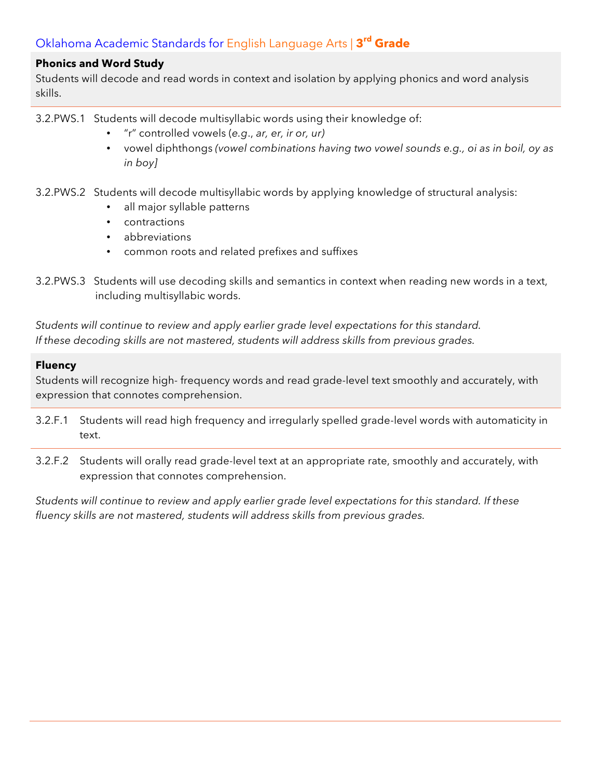### **Phonics and Word Study**

Students will decode and read words in context and isolation by applying phonics and word analysis skills.

- 3.2.PWS.1 Students will decode multisyllabic words using their knowledge of:
	- "r" controlled vowels (*e.g*., *ar, er, ir or, ur)*
	- vowel diphthongs *(vowel combinations having two vowel sounds e.g., oi as in boil, oy as in boy]*
- 3.2.PWS.2 Students will decode multisyllabic words by applying knowledge of structural analysis:
	- all major syllable patterns
	- contractions
	- abbreviations
	- common roots and related prefixes and suffixes
- 3.2.PWS.3 Students will use decoding skills and semantics in context when reading new words in a text, including multisyllabic words.

*Students will continue to review and apply earlier grade level expectations for this standard. If these decoding skills are not mastered, students will address skills from previous grades.*

### **Fluency**

Students will recognize high- frequency words and read grade-level text smoothly and accurately, with expression that connotes comprehension.

- 3.2.F.1 Students will read high frequency and irregularly spelled grade-level words with automaticity in text.
- 3.2.F.2 Students will orally read grade-level text at an appropriate rate, smoothly and accurately, with expression that connotes comprehension.

*Students will continue to review and apply earlier grade level expectations for this standard. If these fluency skills are not mastered, students will address skills from previous grades.*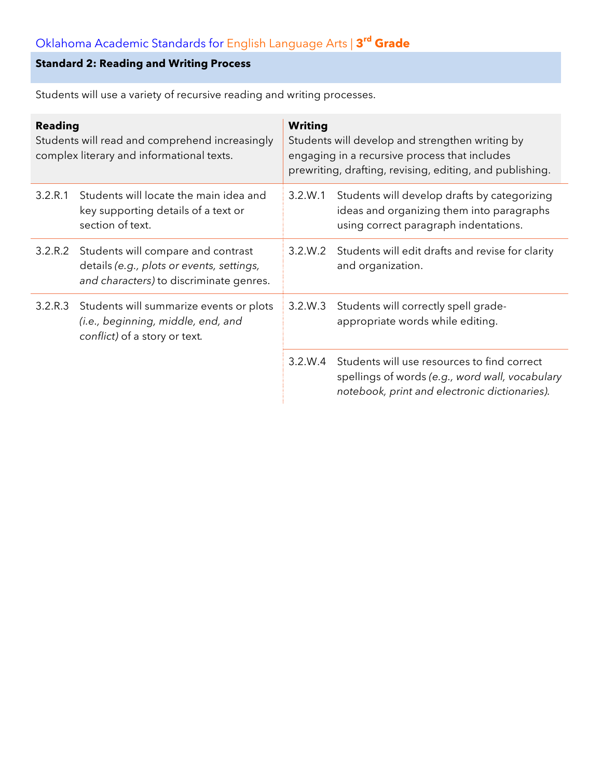# **Standard 2: Reading and Writing Process**

Students will use a variety of recursive reading and writing processes.

| <b>Reading</b><br>Students will read and comprehend increasingly<br>complex literary and informational texts. |                                                                                                                                    | <b>Writing</b><br>Students will develop and strengthen writing by<br>engaging in a recursive process that includes<br>prewriting, drafting, revising, editing, and publishing. |                                                                                                                                                         |
|---------------------------------------------------------------------------------------------------------------|------------------------------------------------------------------------------------------------------------------------------------|--------------------------------------------------------------------------------------------------------------------------------------------------------------------------------|---------------------------------------------------------------------------------------------------------------------------------------------------------|
| 3.2.R.1                                                                                                       | Students will locate the main idea and<br>key supporting details of a text or<br>section of text.                                  | 3.2.W.1                                                                                                                                                                        | Students will develop drafts by categorizing<br>ideas and organizing them into paragraphs<br>using correct paragraph indentations.                      |
|                                                                                                               | 3.2.R.2 Students will compare and contrast<br>details (e.g., plots or events, settings,<br>and characters) to discriminate genres. | 3.2.W.2                                                                                                                                                                        | Students will edit drafts and revise for clarity<br>and organization.                                                                                   |
| 3.2.R.3                                                                                                       | Students will summarize events or plots<br>(i.e., beginning, middle, end, and<br>conflict) of a story or text.                     | 3.2.W.3                                                                                                                                                                        | Students will correctly spell grade-<br>appropriate words while editing.                                                                                |
|                                                                                                               |                                                                                                                                    |                                                                                                                                                                                | 3.2.W.4 Students will use resources to find correct<br>spellings of words (e.g., word wall, vocabulary<br>notebook, print and electronic dictionaries). |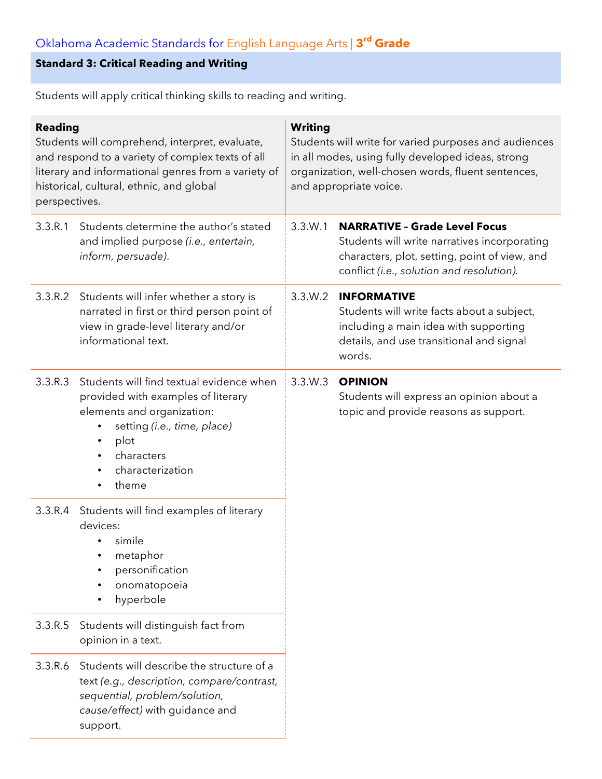## **Standard 3: Critical Reading and Writing**

Students will apply critical thinking skills to reading and writing.

| <b>Reading</b><br>Students will comprehend, interpret, evaluate,<br>and respond to a variety of complex texts of all<br>literary and informational genres from a variety of<br>historical, cultural, ethnic, and global<br>perspectives. |                                                                                                                                                                                                                          | <b>Writing</b><br>Students will write for varied purposes and audiences<br>in all modes, using fully developed ideas, strong<br>organization, well-chosen words, fluent sentences,<br>and appropriate voice. |                                                                                                                                                                                    |
|------------------------------------------------------------------------------------------------------------------------------------------------------------------------------------------------------------------------------------------|--------------------------------------------------------------------------------------------------------------------------------------------------------------------------------------------------------------------------|--------------------------------------------------------------------------------------------------------------------------------------------------------------------------------------------------------------|------------------------------------------------------------------------------------------------------------------------------------------------------------------------------------|
| 3.3.R.1                                                                                                                                                                                                                                  | Students determine the author's stated<br>and implied purpose (i.e., entertain,<br>inform, persuade).                                                                                                                    | 3.3.W.1                                                                                                                                                                                                      | <b>NARRATIVE - Grade Level Focus</b><br>Students will write narratives incorporating<br>characters, plot, setting, point of view, and<br>conflict (i.e., solution and resolution). |
| 3.3.R.2                                                                                                                                                                                                                                  | Students will infer whether a story is<br>narrated in first or third person point of<br>view in grade-level literary and/or<br>informational text.                                                                       | 3.3.W.2                                                                                                                                                                                                      | <b>INFORMATIVE</b><br>Students will write facts about a subject,<br>including a main idea with supporting<br>details, and use transitional and signal<br>words.                    |
| 3.3.R.3                                                                                                                                                                                                                                  | Students will find textual evidence when<br>provided with examples of literary<br>elements and organization:<br>setting (i.e., time, place)<br>plot<br>$\bullet$<br>characters<br>$\bullet$<br>characterization<br>theme | 3.3.W.3                                                                                                                                                                                                      | <b>OPINION</b><br>Students will express an opinion about a<br>topic and provide reasons as support.                                                                                |
| 3.3.R.4                                                                                                                                                                                                                                  | Students will find examples of literary<br>devices:<br>simile<br>metaphor<br>personification<br>onomatopoeia<br>hyperbole                                                                                                |                                                                                                                                                                                                              |                                                                                                                                                                                    |
| 3.3.R.5                                                                                                                                                                                                                                  | Students will distinguish fact from<br>opinion in a text.                                                                                                                                                                |                                                                                                                                                                                                              |                                                                                                                                                                                    |
| 3.3.R.6                                                                                                                                                                                                                                  | Students will describe the structure of a<br>text (e.g., description, compare/contrast,<br>sequential, problem/solution,<br>cause/effect) with guidance and<br>support.                                                  |                                                                                                                                                                                                              |                                                                                                                                                                                    |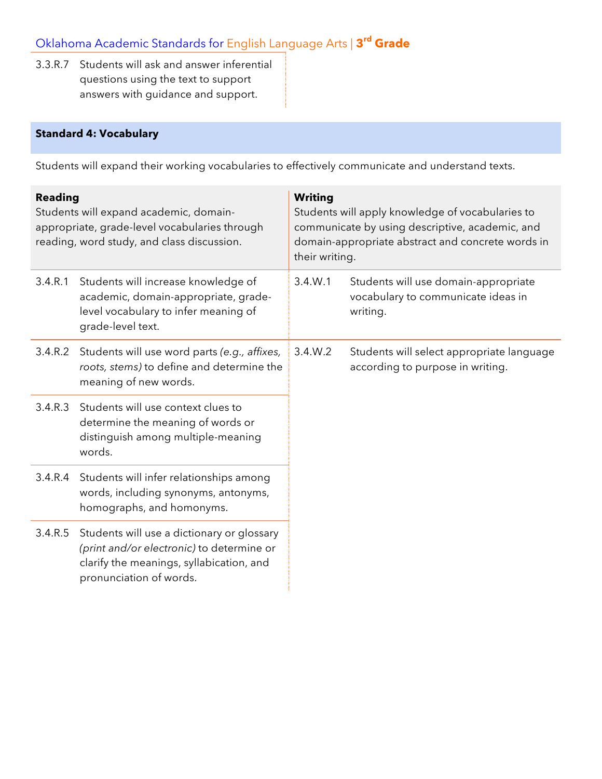3.3.R.7 Students will ask and answer inferential questions using the text to support answers with guidance and support.

## **Standard 4: Vocabulary**

Students will expand their working vocabularies to effectively communicate and understand texts.

| <b>Reading</b><br>Students will expand academic, domain-<br>appropriate, grade-level vocabularies through<br>reading, word study, and class discussion. |                                                                                                                                                                | <b>Writing</b><br>Students will apply knowledge of vocabularies to<br>communicate by using descriptive, academic, and<br>domain-appropriate abstract and concrete words in<br>their writing. |                                                                                        |
|---------------------------------------------------------------------------------------------------------------------------------------------------------|----------------------------------------------------------------------------------------------------------------------------------------------------------------|----------------------------------------------------------------------------------------------------------------------------------------------------------------------------------------------|----------------------------------------------------------------------------------------|
| 3.4.R.1                                                                                                                                                 | Students will increase knowledge of<br>academic, domain-appropriate, grade-<br>level vocabulary to infer meaning of<br>grade-level text.                       | 3.4.W.1                                                                                                                                                                                      | Students will use domain-appropriate<br>vocabulary to communicate ideas in<br>writing. |
| 3.4.R.2                                                                                                                                                 | Students will use word parts (e.g., affixes,<br>roots, stems) to define and determine the<br>meaning of new words.                                             | 3.4.W.2                                                                                                                                                                                      | Students will select appropriate language<br>according to purpose in writing.          |
| 3.4.R.3                                                                                                                                                 | Students will use context clues to<br>determine the meaning of words or<br>distinguish among multiple-meaning<br>words.                                        |                                                                                                                                                                                              |                                                                                        |
| 3.4.R.4                                                                                                                                                 | Students will infer relationships among<br>words, including synonyms, antonyms,<br>homographs, and homonyms.                                                   |                                                                                                                                                                                              |                                                                                        |
| 3.4.R.5                                                                                                                                                 | Students will use a dictionary or glossary<br>(print and/or electronic) to determine or<br>clarify the meanings, syllabication, and<br>pronunciation of words. |                                                                                                                                                                                              |                                                                                        |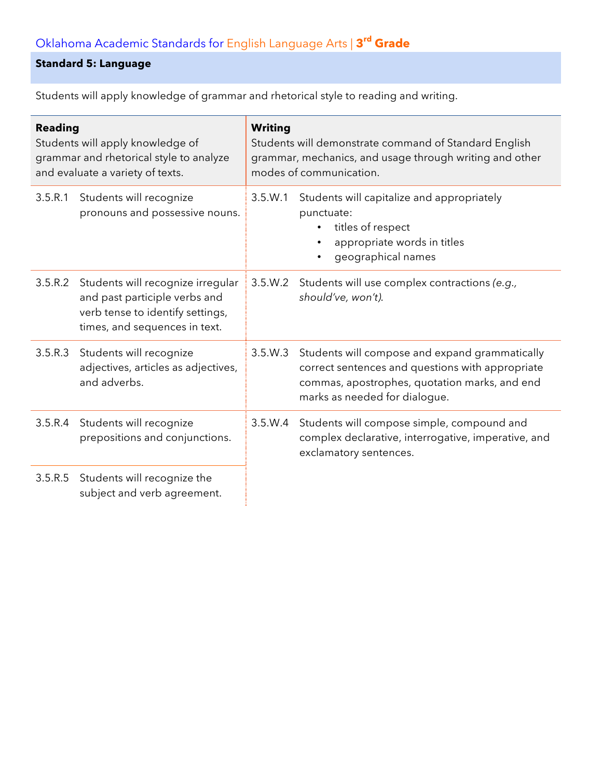## **Standard 5: Language**

Students will apply knowledge of grammar and rhetorical style to reading and writing.

| <b>Reading</b><br>Students will apply knowledge of<br>grammar and rhetorical style to analyze<br>and evaluate a variety of texts. |                                                                                                                                         | <b>Writing</b><br>Students will demonstrate command of Standard English<br>grammar, mechanics, and usage through writing and other<br>modes of communication. |                                                                                                                                                                                      |  |
|-----------------------------------------------------------------------------------------------------------------------------------|-----------------------------------------------------------------------------------------------------------------------------------------|---------------------------------------------------------------------------------------------------------------------------------------------------------------|--------------------------------------------------------------------------------------------------------------------------------------------------------------------------------------|--|
| 3.5.R.1                                                                                                                           | Students will recognize<br>pronouns and possessive nouns.                                                                               | 3.5.W.1                                                                                                                                                       | Students will capitalize and appropriately<br>punctuate:<br>titles of respect<br>$\bullet$<br>appropriate words in titles<br>$\bullet$<br>geographical names<br>$\bullet$            |  |
| 3.5.R.2                                                                                                                           | Students will recognize irregular<br>and past participle verbs and<br>verb tense to identify settings,<br>times, and sequences in text. | 3.5.W.2                                                                                                                                                       | Students will use complex contractions (e.g.,<br>should've, won't).                                                                                                                  |  |
| 3.5.R.3                                                                                                                           | Students will recognize<br>adjectives, articles as adjectives,<br>and adverbs.                                                          | 3.5.W.3                                                                                                                                                       | Students will compose and expand grammatically<br>correct sentences and questions with appropriate<br>commas, apostrophes, quotation marks, and end<br>marks as needed for dialogue. |  |
| 3.5.R.4                                                                                                                           | Students will recognize<br>prepositions and conjunctions.                                                                               | 3.5.W.4                                                                                                                                                       | Students will compose simple, compound and<br>complex declarative, interrogative, imperative, and<br>exclamatory sentences.                                                          |  |
| 3.5.R.5                                                                                                                           | Students will recognize the<br>subject and verb agreement.                                                                              |                                                                                                                                                               |                                                                                                                                                                                      |  |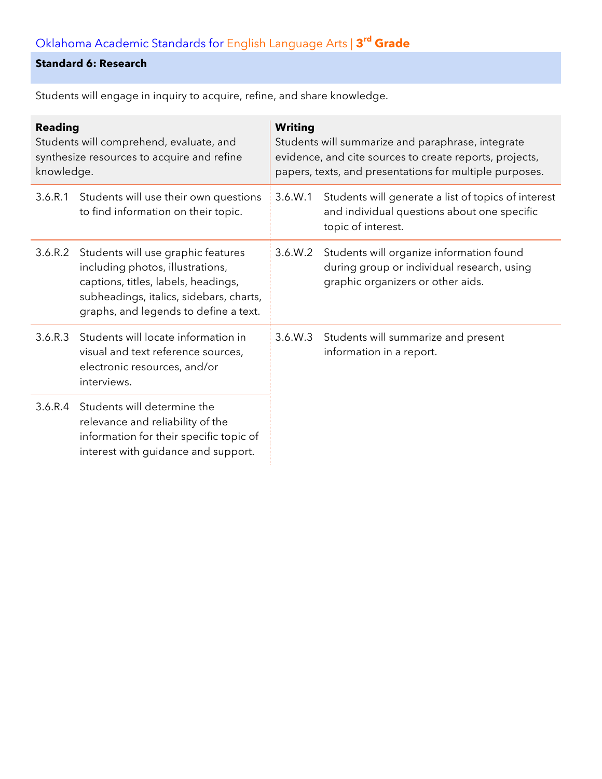# **Standard 6: Research**

Students will engage in inquiry to acquire, refine, and share knowledge.

| <b>Reading</b><br>Students will comprehend, evaluate, and<br>synthesize resources to acquire and refine<br>knowledge. |                                                                                                                                                                                                   | Writing<br>Students will summarize and paraphrase, integrate<br>evidence, and cite sources to create reports, projects,<br>papers, texts, and presentations for multiple purposes. |                                                                                                                             |  |
|-----------------------------------------------------------------------------------------------------------------------|---------------------------------------------------------------------------------------------------------------------------------------------------------------------------------------------------|------------------------------------------------------------------------------------------------------------------------------------------------------------------------------------|-----------------------------------------------------------------------------------------------------------------------------|--|
| 3.6.R.1                                                                                                               | Students will use their own questions<br>to find information on their topic.                                                                                                                      | 3.6. W.1                                                                                                                                                                           | Students will generate a list of topics of interest<br>and individual questions about one specific<br>topic of interest.    |  |
| 3.6.R.2                                                                                                               | Students will use graphic features<br>including photos, illustrations,<br>captions, titles, labels, headings,<br>subheadings, italics, sidebars, charts,<br>graphs, and legends to define a text. | 3.6.W.2                                                                                                                                                                            | Students will organize information found<br>during group or individual research, using<br>graphic organizers or other aids. |  |
| 3.6.R.3                                                                                                               | Students will locate information in<br>visual and text reference sources,<br>electronic resources, and/or<br>interviews.                                                                          | 3.6.W.3                                                                                                                                                                            | Students will summarize and present<br>information in a report.                                                             |  |
| 3.6.R.4                                                                                                               | Students will determine the<br>relevance and reliability of the<br>information for their specific topic of<br>interest with guidance and support.                                                 |                                                                                                                                                                                    |                                                                                                                             |  |